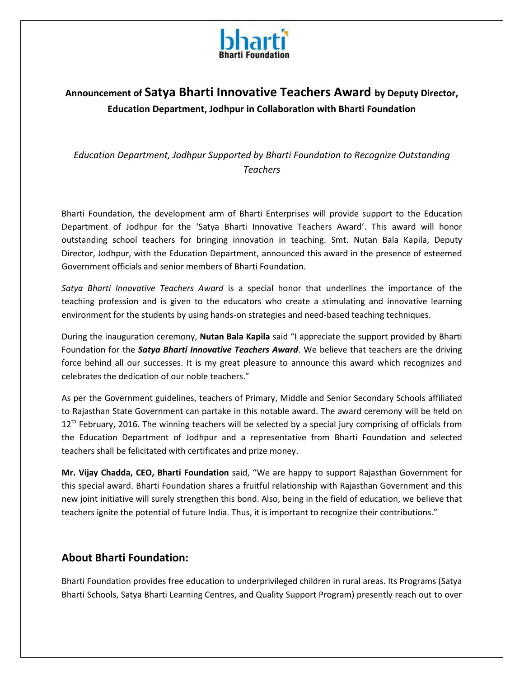

# **Announcement of Satya Bharti Innovative Teachers Award by Deputy Director, Education Department, Jodhpur in Collaboration with Bharti Foundation**

*Education Department, Jodhpur Supported by Bharti Foundation to Recognize Outstanding Teachers*

Bharti Foundation, the development arm of Bharti Enterprises will provide support to the Education Department of Jodhpur for the 'Satya Bharti Innovative Teachers Award'. This award will honor outstanding school teachers for bringing innovation in teaching. Smt. Nutan Bala Kapila, Deputy Director, Jodhpur, with the Education Department, announced this award in the presence of esteemed Government officials and senior members of Bharti Foundation.

*Satya Bharti Innovative Teachers Award* is a special honor that underlines the importance of the teaching profession and is given to the educators who create a stimulating and innovative learning environment for the students by using hands-on strategies and need-based teaching techniques.

During the inauguration ceremony, **Nutan Bala Kapila** said "I appreciate the support provided by Bharti Foundation for the *Satya Bharti Innovative Teachers Award*. We believe that teachers are the driving force behind all our successes. It is my great pleasure to announce this award which recognizes and celebrates the dedication of our noble teachers."

As per the Government guidelines, teachers of Primary, Middle and Senior Secondary Schools affiliated to Rajasthan State Government can partake in this notable award. The award ceremony will be held on 12<sup>th</sup> February, 2016. The winning teachers will be selected by a special jury comprising of officials from the Education Department of Jodhpur and a representative from Bharti Foundation and selected teachers shall be felicitated with certificates and prize money.

**Mr. Vijay Chadda, CEO, Bharti Foundation** said, "We are happy to support Rajasthan Government for this special award. Bharti Foundation shares a fruitful relationship with Rajasthan Government and this new joint initiative will surely strengthen this bond. Also, being in the field of education, we believe that teachers ignite the potential of future India. Thus, it is important to recognize their contributions."

## **About Bharti Foundation:**

Bharti Foundation provides free education to underprivileged children in rural areas. Its Programs (Satya Bharti Schools, Satya Bharti Learning Centres, and Quality Support Program) presently reach out to over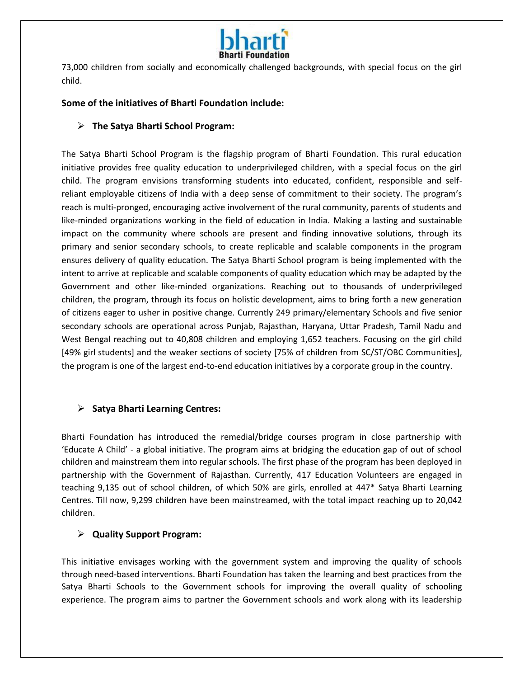

73,000 children from socially and economically challenged backgrounds, with special focus on the girl child.

#### **Some of the initiatives of Bharti Foundation include:**

#### **The Satya Bharti School Program:**

The Satya Bharti School Program is the flagship program of Bharti Foundation. This rural education initiative provides free quality education to underprivileged children, with a special focus on the girl child. The program envisions transforming students into educated, confident, responsible and selfreliant employable citizens of India with a deep sense of commitment to their society. The program's reach is multi-pronged, encouraging active involvement of the rural community, parents of students and like-minded organizations working in the field of education in India. Making a lasting and sustainable impact on the community where schools are present and finding innovative solutions, through its primary and senior secondary schools, to create replicable and scalable components in the program ensures delivery of quality education. The Satya Bharti School program is being implemented with the intent to arrive at replicable and scalable components of quality education which may be adapted by the Government and other like-minded organizations. Reaching out to thousands of underprivileged children, the program, through its focus on holistic development, aims to bring forth a new generation of citizens eager to usher in positive change. Currently 249 primary/elementary Schools and five senior secondary schools are operational across Punjab, Rajasthan, Haryana, Uttar Pradesh, Tamil Nadu and West Bengal reaching out to 40,808 children and employing 1,652 teachers. Focusing on the girl child [49% girl students] and the weaker sections of society [75% of children from SC/ST/OBC Communities], the program is one of the largest end-to-end education initiatives by a corporate group in the country.

#### **Satya Bharti Learning Centres:**

Bharti Foundation has introduced the remedial/bridge courses program in close partnership with 'Educate A Child' - a global initiative. The program aims at bridging the education gap of out of school children and mainstream them into regular schools. The first phase of the program has been deployed in partnership with the Government of Rajasthan. Currently, 417 Education Volunteers are engaged in teaching 9,135 out of school children, of which 50% are girls, enrolled at 447\* Satya Bharti Learning Centres. Till now, 9,299 children have been mainstreamed, with the total impact reaching up to 20,042 children.

#### **Quality Support Program:**

This initiative envisages working with the government system and improving the quality of schools through need-based interventions. Bharti Foundation has taken the learning and best practices from the Satya Bharti Schools to the Government schools for improving the overall quality of schooling experience. The program aims to partner the Government schools and work along with its leadership